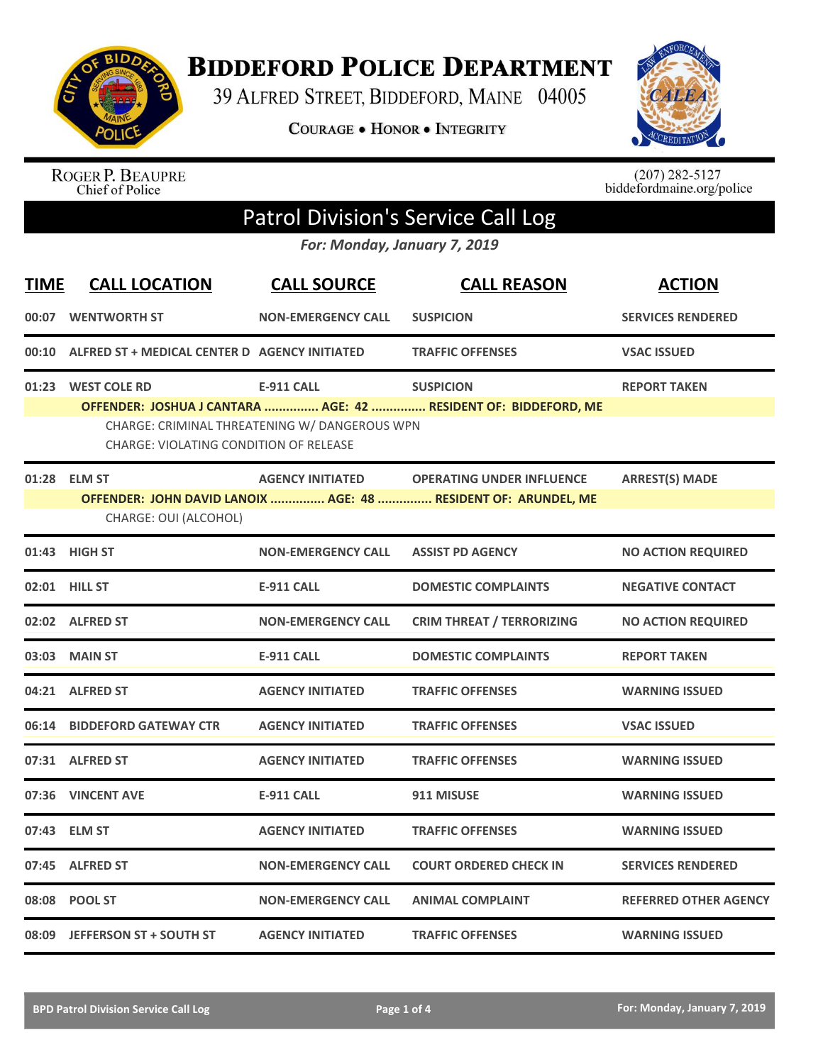

**BIDDEFORD POLICE DEPARTMENT** 

39 ALFRED STREET, BIDDEFORD, MAINE 04005

**COURAGE . HONOR . INTEGRITY** 



ROGER P. BEAUPRE<br>Chief of Police

 $(207)$  282-5127<br>biddefordmaine.org/police

## Patrol Division's Service Call Log

*For: Monday, January 7, 2019*

| <b>TIME</b>   | <b>CALL LOCATION</b>                                                | <b>CALL SOURCE</b>                                                 | <b>CALL REASON</b>                                                                                 | <b>ACTION</b>                |
|---------------|---------------------------------------------------------------------|--------------------------------------------------------------------|----------------------------------------------------------------------------------------------------|------------------------------|
| 00:07         | <b>WENTWORTH ST</b>                                                 | <b>NON-EMERGENCY CALL</b>                                          | <b>SUSPICION</b>                                                                                   | <b>SERVICES RENDERED</b>     |
| 00:10         | ALFRED ST + MEDICAL CENTER D AGENCY INITIATED                       |                                                                    | <b>TRAFFIC OFFENSES</b>                                                                            | <b>VSAC ISSUED</b>           |
|               | 01:23 WEST COLE RD<br><b>CHARGE: VIOLATING CONDITION OF RELEASE</b> | <b>E-911 CALL</b><br>CHARGE: CRIMINAL THREATENING W/ DANGEROUS WPN | <b>SUSPICION</b><br>OFFENDER: JOSHUA J CANTARA  AGE: 42  RESIDENT OF: BIDDEFORD, ME                | <b>REPORT TAKEN</b>          |
|               | 01:28 ELM ST<br>CHARGE: OUI (ALCOHOL)                               | <b>AGENCY INITIATED</b>                                            | <b>OPERATING UNDER INFLUENCE</b><br>OFFENDER: JOHN DAVID LANOIX  AGE: 48  RESIDENT OF: ARUNDEL, ME | <b>ARREST(S) MADE</b>        |
|               | 01:43 HIGH ST                                                       | <b>NON-EMERGENCY CALL</b>                                          | <b>ASSIST PD AGENCY</b>                                                                            | <b>NO ACTION REQUIRED</b>    |
| 02:01 HILL ST |                                                                     | <b>E-911 CALL</b>                                                  | <b>DOMESTIC COMPLAINTS</b>                                                                         | <b>NEGATIVE CONTACT</b>      |
|               | 02:02 ALFRED ST                                                     | <b>NON-EMERGENCY CALL</b>                                          | <b>CRIM THREAT / TERRORIZING</b>                                                                   | <b>NO ACTION REQUIRED</b>    |
|               | 03:03 MAIN ST                                                       | <b>E-911 CALL</b>                                                  | <b>DOMESTIC COMPLAINTS</b>                                                                         | <b>REPORT TAKEN</b>          |
|               | 04:21 ALFRED ST                                                     | <b>AGENCY INITIATED</b>                                            | <b>TRAFFIC OFFENSES</b>                                                                            | <b>WARNING ISSUED</b>        |
|               | 06:14 BIDDEFORD GATEWAY CTR                                         | <b>AGENCY INITIATED</b>                                            | <b>TRAFFIC OFFENSES</b>                                                                            | <b>VSAC ISSUED</b>           |
|               | 07:31 ALFRED ST                                                     | <b>AGENCY INITIATED</b>                                            | <b>TRAFFIC OFFENSES</b>                                                                            | <b>WARNING ISSUED</b>        |
| 07:36         | <b>VINCENT AVE</b>                                                  | <b>E-911 CALL</b>                                                  | 911 MISUSE                                                                                         | <b>WARNING ISSUED</b>        |
|               | 07:43 ELM ST                                                        | <b>AGENCY INITIATED</b>                                            | <b>TRAFFIC OFFENSES</b>                                                                            | <b>WARNING ISSUED</b>        |
|               | 07:45 ALFRED ST                                                     | <b>NON-EMERGENCY CALL</b>                                          | <b>COURT ORDERED CHECK IN</b>                                                                      | <b>SERVICES RENDERED</b>     |
|               | 08:08 POOL ST                                                       | <b>NON-EMERGENCY CALL</b>                                          | <b>ANIMAL COMPLAINT</b>                                                                            | <b>REFERRED OTHER AGENCY</b> |
|               | 08:09 JEFFERSON ST + SOUTH ST                                       | <b>AGENCY INITIATED</b>                                            | <b>TRAFFIC OFFENSES</b>                                                                            | <b>WARNING ISSUED</b>        |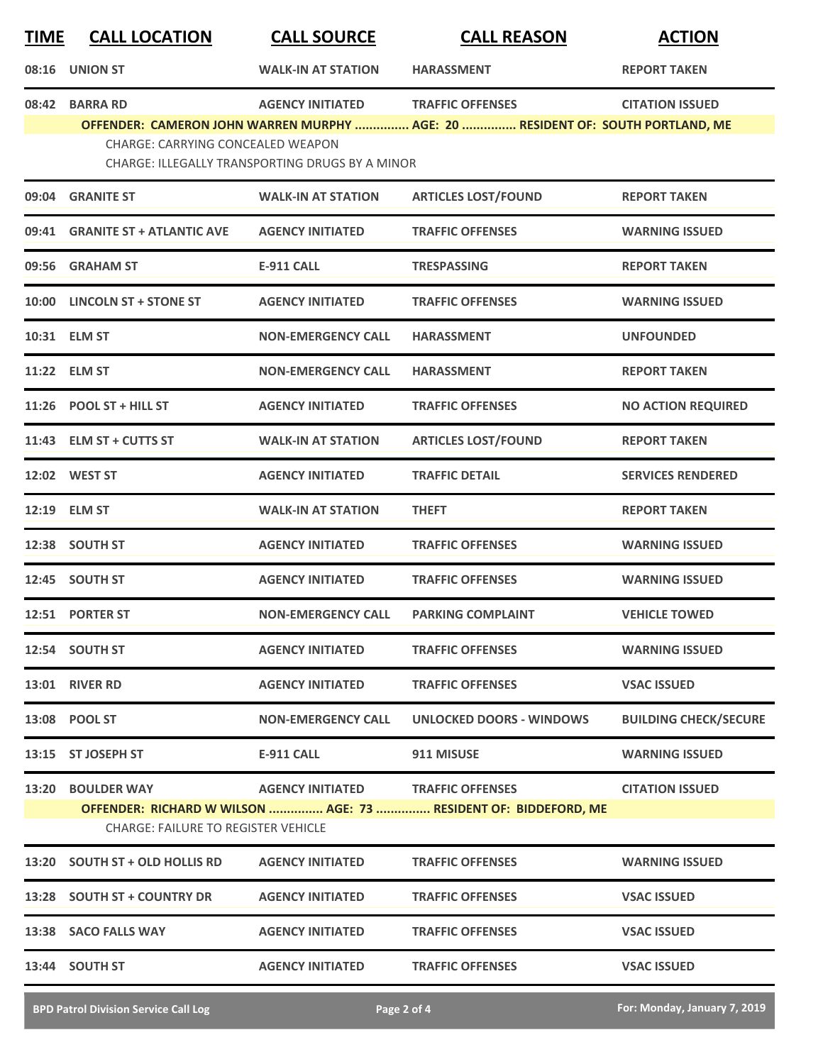| <b>TIME</b> | <b>CALL LOCATION</b>                                            | <b>CALL SOURCE</b>                                                         | <b>CALL REASON</b>                                                                                        | <b>ACTION</b>                |
|-------------|-----------------------------------------------------------------|----------------------------------------------------------------------------|-----------------------------------------------------------------------------------------------------------|------------------------------|
|             | 08:16 UNION ST                                                  | <b>WALK-IN AT STATION</b>                                                  | <b>HARASSMENT</b>                                                                                         | <b>REPORT TAKEN</b>          |
| 08:42       | <b>BARRA RD</b><br>CHARGE: CARRYING CONCEALED WEAPON            | <b>AGENCY INITIATED</b><br>CHARGE: ILLEGALLY TRANSPORTING DRUGS BY A MINOR | <b>TRAFFIC OFFENSES</b><br>OFFENDER: CAMERON JOHN WARREN MURPHY  AGE: 20  RESIDENT OF: SOUTH PORTLAND, ME | <b>CITATION ISSUED</b>       |
| 09:04       | <b>GRANITE ST</b>                                               | <b>WALK-IN AT STATION</b>                                                  | <b>ARTICLES LOST/FOUND</b>                                                                                | <b>REPORT TAKEN</b>          |
|             | 09:41 GRANITE ST + ATLANTIC AVE                                 | <b>AGENCY INITIATED</b>                                                    | <b>TRAFFIC OFFENSES</b>                                                                                   | <b>WARNING ISSUED</b>        |
| 09:56       | <b>GRAHAM ST</b>                                                | <b>E-911 CALL</b>                                                          | <b>TRESPASSING</b>                                                                                        | <b>REPORT TAKEN</b>          |
|             | 10:00 LINCOLN ST + STONE ST                                     | <b>AGENCY INITIATED</b>                                                    | <b>TRAFFIC OFFENSES</b>                                                                                   | <b>WARNING ISSUED</b>        |
|             | 10:31 ELM ST                                                    | <b>NON-EMERGENCY CALL</b>                                                  | <b>HARASSMENT</b>                                                                                         | <b>UNFOUNDED</b>             |
|             | 11:22 ELM ST                                                    | <b>NON-EMERGENCY CALL</b>                                                  | <b>HARASSMENT</b>                                                                                         | <b>REPORT TAKEN</b>          |
|             | 11:26 POOL ST + HILL ST                                         | <b>AGENCY INITIATED</b>                                                    | <b>TRAFFIC OFFENSES</b>                                                                                   | <b>NO ACTION REQUIRED</b>    |
|             | 11:43 ELM ST + CUTTS ST                                         | <b>WALK-IN AT STATION</b>                                                  | <b>ARTICLES LOST/FOUND</b>                                                                                | <b>REPORT TAKEN</b>          |
|             | 12:02 WEST ST                                                   | <b>AGENCY INITIATED</b>                                                    | <b>TRAFFIC DETAIL</b>                                                                                     | <b>SERVICES RENDERED</b>     |
|             | 12:19 ELM ST                                                    | <b>WALK-IN AT STATION</b>                                                  | <b>THEFT</b>                                                                                              | <b>REPORT TAKEN</b>          |
|             | 12:38 SOUTH ST                                                  | <b>AGENCY INITIATED</b>                                                    | <b>TRAFFIC OFFENSES</b>                                                                                   | <b>WARNING ISSUED</b>        |
|             | 12:45 SOUTH ST                                                  | <b>AGENCY INITIATED</b>                                                    | <b>TRAFFIC OFFENSES</b>                                                                                   | <b>WARNING ISSUED</b>        |
|             | 12:51 PORTER ST                                                 | <b>NON-EMERGENCY CALL</b>                                                  | <b>PARKING COMPLAINT</b>                                                                                  | <b>VEHICLE TOWED</b>         |
|             | 12:54 SOUTH ST                                                  | <b>AGENCY INITIATED</b>                                                    | <b>TRAFFIC OFFENSES</b>                                                                                   | <b>WARNING ISSUED</b>        |
|             | <b>13:01 RIVER RD</b>                                           | <b>AGENCY INITIATED</b>                                                    | <b>TRAFFIC OFFENSES</b>                                                                                   | <b>VSAC ISSUED</b>           |
|             | 13:08 POOL ST                                                   | <b>NON-EMERGENCY CALL</b>                                                  | UNLOCKED DOORS - WINDOWS                                                                                  | <b>BUILDING CHECK/SECURE</b> |
|             | 13:15 ST JOSEPH ST                                              | <b>E-911 CALL</b>                                                          | 911 MISUSE                                                                                                | <b>WARNING ISSUED</b>        |
|             | 13:20 BOULDER WAY<br><b>CHARGE: FAILURE TO REGISTER VEHICLE</b> | AGENCY INITIATED TRAFFIC OFFENSES                                          | OFFENDER: RICHARD W WILSON  AGE: 73  RESIDENT OF: BIDDEFORD, ME                                           | <b>CITATION ISSUED</b>       |
|             | 13:20 SOUTH ST + OLD HOLLIS RD                                  | <b>AGENCY INITIATED</b>                                                    | <b>TRAFFIC OFFENSES</b>                                                                                   | <b>WARNING ISSUED</b>        |
|             | 13:28 SOUTH ST + COUNTRY DR                                     | <b>AGENCY INITIATED</b>                                                    | <b>TRAFFIC OFFENSES</b>                                                                                   | <b>VSAC ISSUED</b>           |
|             | 13:38 SACO FALLS WAY                                            | <b>AGENCY INITIATED</b>                                                    | <b>TRAFFIC OFFENSES</b>                                                                                   | <b>VSAC ISSUED</b>           |
|             | 13:44 SOUTH ST                                                  | <b>AGENCY INITIATED</b>                                                    | <b>TRAFFIC OFFENSES</b>                                                                                   | <b>VSAC ISSUED</b>           |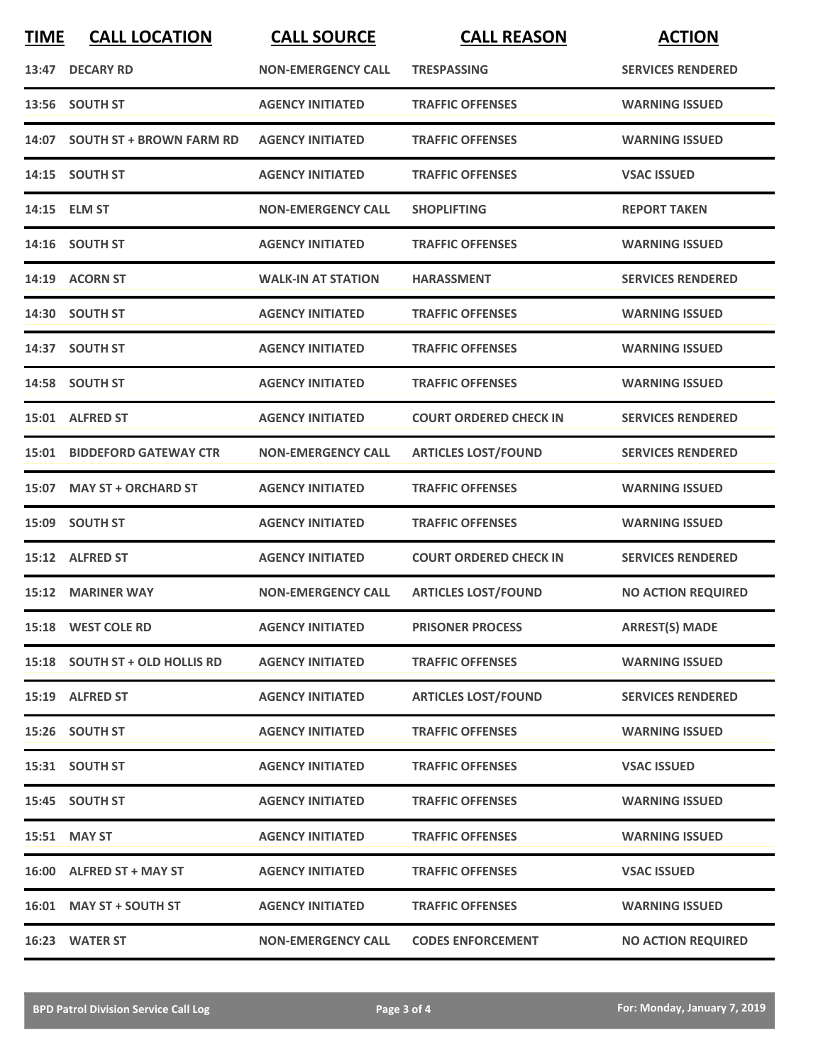| <b>TIME</b> | <b>CALL LOCATION</b>               | <b>CALL SOURCE</b>        | <b>CALL REASON</b>            | <b>ACTION</b>             |
|-------------|------------------------------------|---------------------------|-------------------------------|---------------------------|
|             | 13:47 DECARY RD                    | <b>NON-EMERGENCY CALL</b> | <b>TRESPASSING</b>            | <b>SERVICES RENDERED</b>  |
|             | 13:56 SOUTH ST                     | <b>AGENCY INITIATED</b>   | <b>TRAFFIC OFFENSES</b>       | <b>WARNING ISSUED</b>     |
|             | 14:07 SOUTH ST + BROWN FARM RD     | <b>AGENCY INITIATED</b>   | <b>TRAFFIC OFFENSES</b>       | <b>WARNING ISSUED</b>     |
|             | 14:15 SOUTH ST                     | <b>AGENCY INITIATED</b>   | <b>TRAFFIC OFFENSES</b>       | <b>VSAC ISSUED</b>        |
|             | 14:15 ELM ST                       | <b>NON-EMERGENCY CALL</b> | <b>SHOPLIFTING</b>            | <b>REPORT TAKEN</b>       |
|             | 14:16 SOUTH ST                     | <b>AGENCY INITIATED</b>   | <b>TRAFFIC OFFENSES</b>       | <b>WARNING ISSUED</b>     |
|             | 14:19 ACORN ST                     | <b>WALK-IN AT STATION</b> | <b>HARASSMENT</b>             | <b>SERVICES RENDERED</b>  |
|             | 14:30 SOUTH ST                     | <b>AGENCY INITIATED</b>   | <b>TRAFFIC OFFENSES</b>       | <b>WARNING ISSUED</b>     |
|             | 14:37 SOUTH ST                     | <b>AGENCY INITIATED</b>   | <b>TRAFFIC OFFENSES</b>       | <b>WARNING ISSUED</b>     |
|             | 14:58 SOUTH ST                     | <b>AGENCY INITIATED</b>   | <b>TRAFFIC OFFENSES</b>       | <b>WARNING ISSUED</b>     |
|             | 15:01 ALFRED ST                    | <b>AGENCY INITIATED</b>   | <b>COURT ORDERED CHECK IN</b> | <b>SERVICES RENDERED</b>  |
|             | <b>15:01 BIDDEFORD GATEWAY CTR</b> | <b>NON-EMERGENCY CALL</b> | <b>ARTICLES LOST/FOUND</b>    | <b>SERVICES RENDERED</b>  |
| 15:07       | <b>MAY ST + ORCHARD ST</b>         | <b>AGENCY INITIATED</b>   | <b>TRAFFIC OFFENSES</b>       | <b>WARNING ISSUED</b>     |
| 15:09       | <b>SOUTH ST</b>                    | <b>AGENCY INITIATED</b>   | <b>TRAFFIC OFFENSES</b>       | <b>WARNING ISSUED</b>     |
| 15:12       | <b>ALFRED ST</b>                   | <b>AGENCY INITIATED</b>   | <b>COURT ORDERED CHECK IN</b> | <b>SERVICES RENDERED</b>  |
|             | 15:12 MARINER WAY                  | <b>NON-EMERGENCY CALL</b> | <b>ARTICLES LOST/FOUND</b>    | <b>NO ACTION REQUIRED</b> |
|             | 15:18 WEST COLE RD                 | <b>AGENCY INITIATED</b>   | <b>PRISONER PROCESS</b>       | <b>ARREST(S) MADE</b>     |
|             | 15:18 SOUTH ST + OLD HOLLIS RD     | <b>AGENCY INITIATED</b>   | <b>TRAFFIC OFFENSES</b>       | <b>WARNING ISSUED</b>     |
|             | 15:19 ALFRED ST                    | <b>AGENCY INITIATED</b>   | <b>ARTICLES LOST/FOUND</b>    | <b>SERVICES RENDERED</b>  |
|             | 15:26 SOUTH ST                     | <b>AGENCY INITIATED</b>   | <b>TRAFFIC OFFENSES</b>       | <b>WARNING ISSUED</b>     |
|             | 15:31 SOUTH ST                     | <b>AGENCY INITIATED</b>   | <b>TRAFFIC OFFENSES</b>       | <b>VSAC ISSUED</b>        |
|             | 15:45 SOUTH ST                     | <b>AGENCY INITIATED</b>   | <b>TRAFFIC OFFENSES</b>       | <b>WARNING ISSUED</b>     |
|             | 15:51 MAY ST                       | <b>AGENCY INITIATED</b>   | <b>TRAFFIC OFFENSES</b>       | <b>WARNING ISSUED</b>     |
|             | 16:00 ALFRED ST + MAY ST           | <b>AGENCY INITIATED</b>   | <b>TRAFFIC OFFENSES</b>       | <b>VSAC ISSUED</b>        |
|             | 16:01 MAY ST + SOUTH ST            | <b>AGENCY INITIATED</b>   | <b>TRAFFIC OFFENSES</b>       | <b>WARNING ISSUED</b>     |
|             | 16:23 WATER ST                     | <b>NON-EMERGENCY CALL</b> | <b>CODES ENFORCEMENT</b>      | <b>NO ACTION REQUIRED</b> |